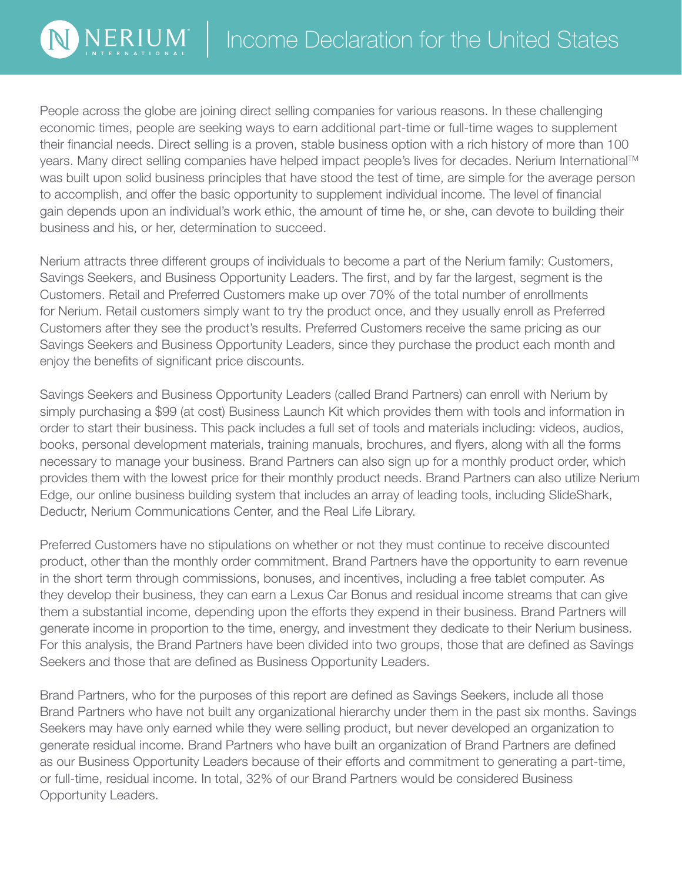People across the globe are joining direct selling companies for various reasons. In these challenging economic times, people are seeking ways to earn additional part-time or full-time wages to supplement their financial needs. Direct selling is a proven, stable business option with a rich history of more than 100 years. Many direct selling companies have helped impact people's lives for decades. Nerium International™ was built upon solid business principles that have stood the test of time, are simple for the average person to accomplish, and offer the basic opportunity to supplement individual income. The level of financial gain depends upon an individual's work ethic, the amount of time he, or she, can devote to building their business and his, or her, determination to succeed.

NERIUN

Nerium attracts three different groups of individuals to become a part of the Nerium family: Customers, Savings Seekers, and Business Opportunity Leaders. The first, and by far the largest, segment is the Customers. Retail and Preferred Customers make up over 70% of the total number of enrollments for Nerium. Retail customers simply want to try the product once, and they usually enroll as Preferred Customers after they see the product's results. Preferred Customers receive the same pricing as our Savings Seekers and Business Opportunity Leaders, since they purchase the product each month and enjoy the benefits of significant price discounts.

Savings Seekers and Business Opportunity Leaders (called Brand Partners) can enroll with Nerium by simply purchasing a \$99 (at cost) Business Launch Kit which provides them with tools and information in order to start their business. This pack includes a full set of tools and materials including: videos, audios, books, personal development materials, training manuals, brochures, and flyers, along with all the forms necessary to manage your business. Brand Partners can also sign up for a monthly product order, which provides them with the lowest price for their monthly product needs. Brand Partners can also utilize Nerium Edge, our online business building system that includes an array of leading tools, including SlideShark, Deductr, Nerium Communications Center, and the Real Life Library.

Preferred Customers have no stipulations on whether or not they must continue to receive discounted product, other than the monthly order commitment. Brand Partners have the opportunity to earn revenue in the short term through commissions, bonuses, and incentives, including a free tablet computer. As they develop their business, they can earn a Lexus Car Bonus and residual income streams that can give them a substantial income, depending upon the efforts they expend in their business. Brand Partners will generate income in proportion to the time, energy, and investment they dedicate to their Nerium business. For this analysis, the Brand Partners have been divided into two groups, those that are defined as Savings Seekers and those that are defined as Business Opportunity Leaders.

Brand Partners, who for the purposes of this report are defined as Savings Seekers, include all those Brand Partners who have not built any organizational hierarchy under them in the past six months. Savings Seekers may have only earned while they were selling product, but never developed an organization to generate residual income. Brand Partners who have built an organization of Brand Partners are defined as our Business Opportunity Leaders because of their efforts and commitment to generating a part-time, or full-time, residual income. In total, 32% of our Brand Partners would be considered Business Opportunity Leaders.